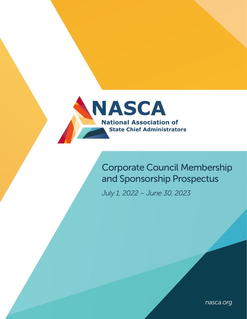

# Corporate Council Membership and Sponsorship Prospectus

*July 1, 2022 – June 30, 2023*

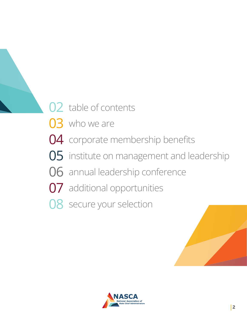- 02 table of contents
- 03 who we are
- 04 corporate membership benefits
- 05 institute on management and leadership
- 06 annual leadership conference
- 07 additional opportunities
- 08 secure your selection



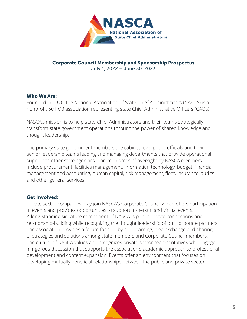

## Corporate Council Membership and Sponsorship Prospectus July 1, 2022 – June 30, 2023

## Who We Are:

Founded in 1976, the National Association of State Chief Administrators (NASCA) is a nonprofit 501(c)3 association representing state Chief Administrative Officers (CAOs).

NASCA's mission is to help state Chief Administrators and their teams strategically transform state government operations through the power of shared knowledge and thought leadership.

The primary state government members are cabinet-level public officials and their senior leadership teams leading and managing departments that provide operational support to other state agencies. Common areas of oversight by NASCA members include procurement, facilities management, information technology, budget, financial management and accounting, human capital, risk management, fleet, insurance, audits and other general services.

# Get Involved:

Private sector companies may join NASCA's Corporate Council which offers participation in events and provides opportunities to support in-person and virtual events. A long-standing signature component of NASCA is public-private connections and relationship-building while recognizing the thought leadership of our corporate partners. The association provides a forum for side-by-side learning, idea exchange and sharing of strategies and solutions among state members and Corporate Council members. The culture of NASCA values and recognizes private sector representatives who engage in rigorous discussion that supports the association's academic approach to professional development and content expansion. Events offer an environment that focuses on developing mutually beneficial relationships between the public and private sector.

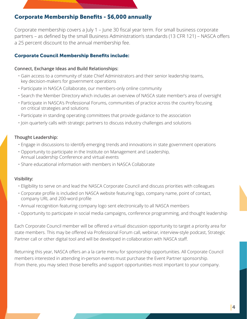# Corporate Membership Benefits - \$6,000 annually

Corporate membership covers a July 1 – June 30 fiscal year term. For small business corporate partners – as defined by the small Business Administration's standards (13 CFR 121) – NASCA offers a 25 percent discount to the annual membership fee.

# Corporate Council Membership Benefits include:

### Connect, Exchange Ideas and Build Relationships:

- Gain access to a community of state Chief Administrators and their senior leadership teams, key decision-makers for government operations
- Participate in NASCA Collaborate, our members-only online community
- Search the Member Directory which includes an overview of NASCA state member's area of oversight
- Participate in NASCA's Professional Forums, communities of practice across the country focusing on critical strategies and solutions
- Participate in standing operating committees that provide guidance to the association
- Join quarterly calls with strategic partners to discuss industry challenges and solutions

### Thought Leadership:

- Engage in discussions to identify emerging trends and innovations in state government operations
- Opportunity to participate in the Institute on Management and Leadership, Annual Leadership Conference and virtual events
- Share educational information with members in NASCA Collaborate

### Visibility:

- Eligibility to serve on and lead the NASCA Corporate Council and discuss priorities with colleagues
- Corporate profile is included on NASCA website featuring logo, company name, point of contact, company URL and 200-word profile
- Annual recognition featuring company logo sent electronically to all NASCA members
- Opportunity to participate in social media campaigns, conference programming, and thought leadership

Each Corporate Council member will be offered a virtual discussion opportunity to target a priority area for state members. This may be offered via Professional Forum call, webinar, interview-style podcast, Strategic Partner call or other digital tool and will be developed in collaboration with NASCA staff.

Returning this year, NASCA offers an a la carte menu for sponsorship opportunities. All Corporate Council members interested in attending in-person events must purchase the Event Partner sponsorship. From there, you may select those benefits and support opportunities most important to your company.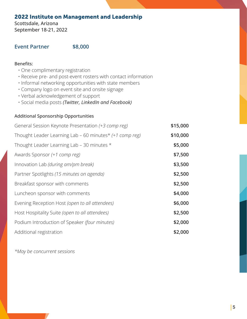# 2022 Institute on Management and Leadership

Scottsdale, Arizona September 18-21, 2022

# **Event Partner \$8,000**

### Benefits:

- One complimentary registration
- Receive pre- and post-event rosters with contact information
- Informal networking opportunities with state members
- Company logo on event site and onsite signage
- Verbal acknowledgement of support
- Social media posts *(Twitter, LinkedIn and Facebook)*

### Additional Sponsorship Opportunities

| General Session Keynote Presentation (+3 comp reg)      | \$15,000 |
|---------------------------------------------------------|----------|
| Thought Leader Learning Lab - 60 minutes* (+1 comp reg) | \$10,000 |
| Thought Leader Learning Lab - 30 minutes *              | \$5,000  |
| Awards Sponsor (+1 comp reg)                            | \$7,500  |
| Innovation Lab (during am/pm break)                     | \$3,500  |
| Partner Spotlights (15 minutes on agenda)               | \$2,500  |
| Breakfast sponsor with comments                         | \$2,500  |
| Luncheon sponsor with comments                          | \$4,000  |
| Evening Reception Host (open to all attendees)          | \$6,000  |
| Host Hospitality Suite (open to all attendees)          | \$2,500  |
| Podium Introduction of Speaker (four minutes)           | \$2,000  |
| Additional registration                                 | \$2,000  |

*\*May be concurrent sessions*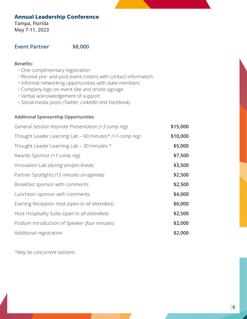# Annual Leadership Conference

Tampa, Florida May 7-11, 2023

# **Event Partner \$8,000**

### Benefits:

- One complimentary registration
- Receive pre- and post-event rosters with contact information
- Informal networking opportunities with state members
- Company logo on event site and onsite signage
- Verbal acknowledgement of support
- Social media posts *(Twitter, LinkedIn and Facebook)*

# Additional Sponsorship Opportunities

| General Session Keynote Presentation (+3 comp reg)      | \$15,000 |
|---------------------------------------------------------|----------|
| Thought Leader Learning Lab - 60 minutes* (+1 comp reg) | \$10,000 |
| Thought Leader Learning Lab - 30 minutes *              | \$5,000  |
| Awards Sponsor (+1 comp reg)                            | \$7,500  |
| Innovation Lab (during am/pm break)                     | \$3,500  |
| Partner Spotlights (15 minutes on agenda)               | \$2,500  |
| Breakfast sponsor with comments                         | \$2,500  |
| Luncheon sponsor with comments                          | \$4,000  |
| Evening Reception Host (open to all attendees)          | \$6,000  |
| Host Hospitality Suite (open to all attendees)          | \$2,500  |
| Podium Introduction of Speaker (four minutes)           | \$2,000  |
| Additional registration                                 | \$2,000  |

*\*May be concurrent sessions*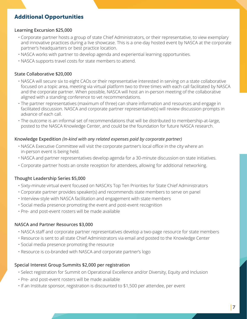# Additional Opportunities

### Learning Excursion \$25,000

- Corporate partner hosts a group of state Chief Administrators, or their representative, to view exemplary and innovative practices during a live showcase. This is a one-day hosted event by NASCA at the corporate partner's headquarters or best practice location.
- NASCA works with partner to develop agenda and experiential learning opportunities.
- NASCA supports travel costs for state members to attend.

### State Collaborative \$20,000

- NASCA will secure six to eight CAOs or their representative interested in serving on a state collaborative focused on a topic area, meeting via virtual platform two to three times with each call facilitated by NASCA and the corporate partner. When possible, NASCA will host an in-person meeting of the collaborative aligned with a standing conference to vet recommendations.
- The partner representatives (maximum of three) can share information and resources and engage in facilitated discussion. NASCA and corporate partner representative(s) will review discussion prompts in advance of each call.
- The outcome is an informal set of recommendations that will be distributed to membership-at-large, posted to the NASCA Knowledge Center, and could be the foundation for future NASCA research.

### Knowledge Expedition *(In-kind with any related expenses paid by corporate partner)*

- NASCA Executive Committee will visit the corporate partner's local office in the city where an in-person event is being held.
- NASCA and partner representatives develop agenda for a 30-minute discussion on state initiatives.
- Corporate partner hosts an onsite reception for attendees, allowing for additional networking.

### Thought Leadership Series \$5,000

- Sixty-minute virtual event focused on NASCA's Top Ten Priorities for State Chief Administrators
- Corporate partner provides speaker(s) and recommends state members to serve on panel
- Interview-style with NASCA facilitation and engagement with state members
- Social media presence promoting the event and post-event recognition
- Pre- and post-event rosters will be made available

### NASCA and Partner Resources \$3,000

- NASCA staff and corporate partner representatives develop a two-page resource for state members
- Resource is sent to all state Chief Administrators via email and posted to the Knowledge Center
- Social media presence promoting the resource
- Resource is co-branded with NASCA and corporate partner's logo

### Special Interest Group Summits \$2,000 per registration

- Select registration for Summit on Operational Excellence and/or Diversity, Equity and Inclusion
- Pre- and post-event rosters will be made available
- If an Institute sponsor, registration is discounted to \$1,500 per attendee, per event